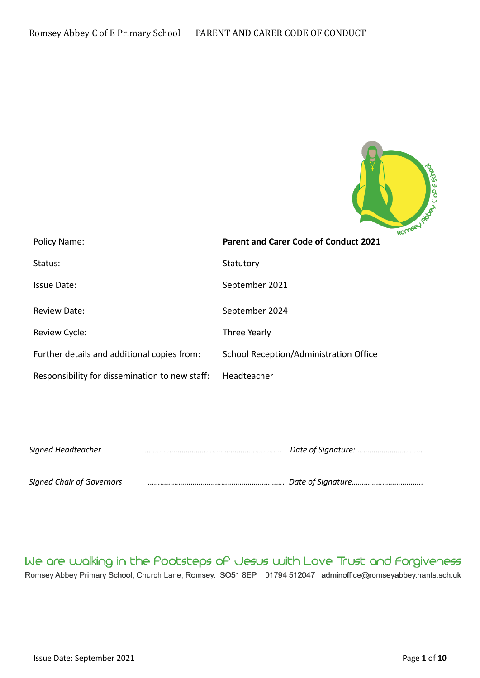

| Policy Name:                                   | <b>Parent and Carer Code of Conduct 2021</b> |
|------------------------------------------------|----------------------------------------------|
| Status:                                        | Statutory                                    |
| Issue Date:                                    | September 2021                               |
| <b>Review Date:</b>                            | September 2024                               |
| Review Cycle:                                  | Three Yearly                                 |
| Further details and additional copies from:    | School Reception/Administration Office       |
| Responsibility for dissemination to new staff: | Headteacher                                  |

| Signed Headteacher |  |
|--------------------|--|
|                    |  |

*Signed Chair of Governors …………………………………………………………. Date of Signature……………………………..*

# We are walking in the Pootsteps of Jesus with Love Trust and Forgiveness

Romsey Abbey Primary School, Church Lane, Romsey. SO51 8EP 01794 512047 adminoffice@romseyabbey.hants.sch.uk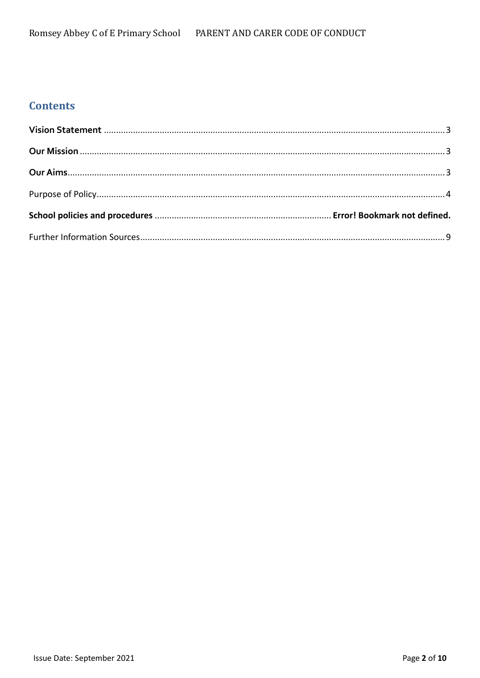# **Contents**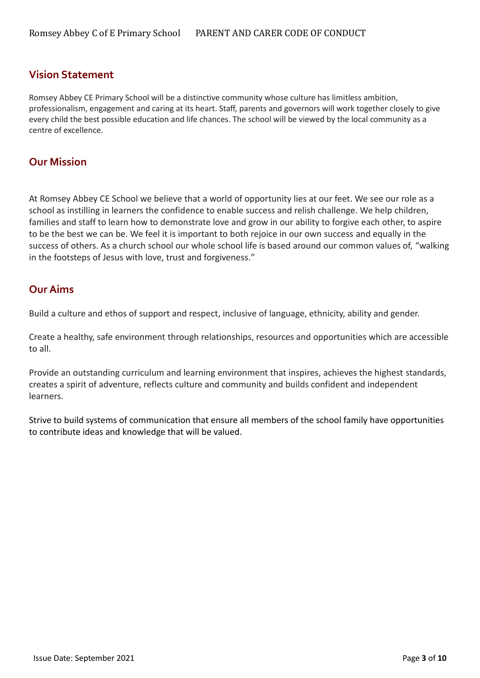### <span id="page-2-0"></span>**Vision Statement**

Romsey Abbey CE Primary School will be a distinctive community whose culture has limitless ambition, professionalism, engagement and caring at its heart. Staff, parents and governors will work together closely to give every child the best possible education and life chances. The school will be viewed by the local community as a centre of excellence.

### <span id="page-2-1"></span>**Our Mission**

At Romsey Abbey CE School we believe that a world of opportunity lies at our feet. We see our role as a school as instilling in learners the confidence to enable success and relish challenge. We help children, families and staff to learn how to demonstrate love and grow in our ability to forgive each other, to aspire to be the best we can be. We feel it is important to both rejoice in our own success and equally in the success of others. As a church school our whole school life is based around our common values of, "walking in the footsteps of Jesus with love, trust and forgiveness."

## <span id="page-2-2"></span>**Our Aims**

Build a culture and ethos of support and respect, inclusive of language, ethnicity, ability and gender.

Create a healthy, safe environment through relationships, resources and opportunities which are accessible to all.

Provide an outstanding curriculum and learning environment that inspires, achieves the highest standards, creates a spirit of adventure, reflects culture and community and builds confident and independent learners.

Strive to build systems of communication that ensure all members of the school family have opportunities to contribute ideas and knowledge that will be valued.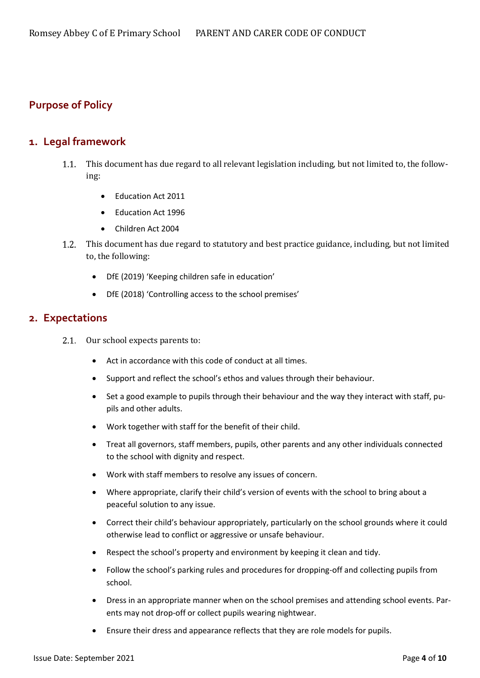# <span id="page-3-0"></span>**Purpose of Policy**

### **1. Legal framework**

- This document has due regard to all relevant legislation including, but not limited to, the follow- $1.1.$ ing:
	- Education Act 2011
	- Education Act 1996
	- Children Act 2004
- $1.2.$ This document has due regard to statutory and best practice guidance, including, but not limited to, the following:
	- DfE (2019) 'Keeping children safe in education'
	- DfE (2018) 'Controlling access to the school premises'

#### **2. Expectations**

- 2.1 Our school expects parents to:
	- Act in accordance with this code of conduct at all times.
	- Support and reflect the school's ethos and values through their behaviour.
	- Set a good example to pupils through their behaviour and the way they interact with staff, pupils and other adults.
	- Work together with staff for the benefit of their child.
	- Treat all governors, staff members, pupils, other parents and any other individuals connected to the school with dignity and respect.
	- Work with staff members to resolve any issues of concern.
	- Where appropriate, clarify their child's version of events with the school to bring about a peaceful solution to any issue.
	- Correct their child's behaviour appropriately, particularly on the school grounds where it could otherwise lead to conflict or aggressive or unsafe behaviour.
	- Respect the school's property and environment by keeping it clean and tidy.
	- Follow the school's parking rules and procedures for dropping-off and collecting pupils from school.
	- Dress in an appropriate manner when on the school premises and attending school events. Parents may not drop-off or collect pupils wearing nightwear.
	- Ensure their dress and appearance reflects that they are role models for pupils.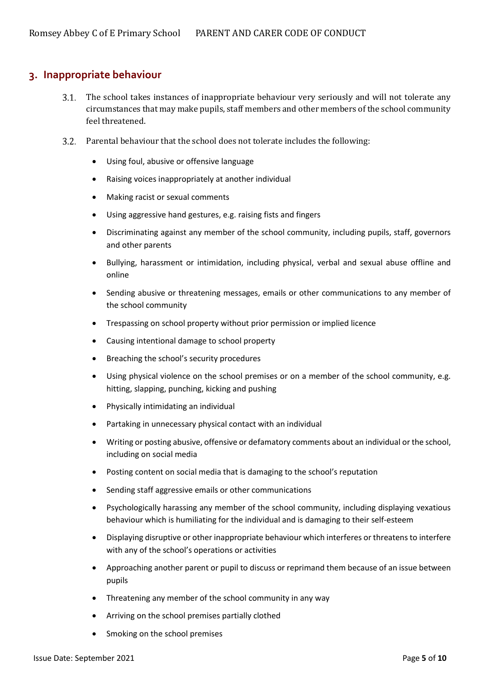## **3. Inappropriate behaviour**

- The school takes instances of inappropriate behaviour very seriously and will not tolerate any circumstances that may make pupils, staff members and other members of the school community feel threatened.
- 3.2. Parental behaviour that the school does not tolerate includes the following:
	- Using foul, abusive or offensive language
	- Raising voices inappropriately at another individual
	- Making racist or sexual comments
	- Using aggressive hand gestures, e.g. raising fists and fingers
	- Discriminating against any member of the school community, including pupils, staff, governors and other parents
	- Bullying, harassment or intimidation, including physical, verbal and sexual abuse offline and online
	- Sending abusive or threatening messages, emails or other communications to any member of the school community
	- Trespassing on school property without prior permission or implied licence
	- Causing intentional damage to school property
	- Breaching the school's security procedures
	- Using physical violence on the school premises or on a member of the school community, e.g. hitting, slapping, punching, kicking and pushing
	- Physically intimidating an individual
	- Partaking in unnecessary physical contact with an individual
	- Writing or posting abusive, offensive or defamatory comments about an individual or the school, including on social media
	- Posting content on social media that is damaging to the school's reputation
	- Sending staff aggressive emails or other communications
	- Psychologically harassing any member of the school community, including displaying vexatious behaviour which is humiliating for the individual and is damaging to their self-esteem
	- Displaying disruptive or other inappropriate behaviour which interferes or threatens to interfere with any of the school's operations or activities
	- Approaching another parent or pupil to discuss or reprimand them because of an issue between pupils
	- Threatening any member of the school community in any way
	- Arriving on the school premises partially clothed
	- Smoking on the school premises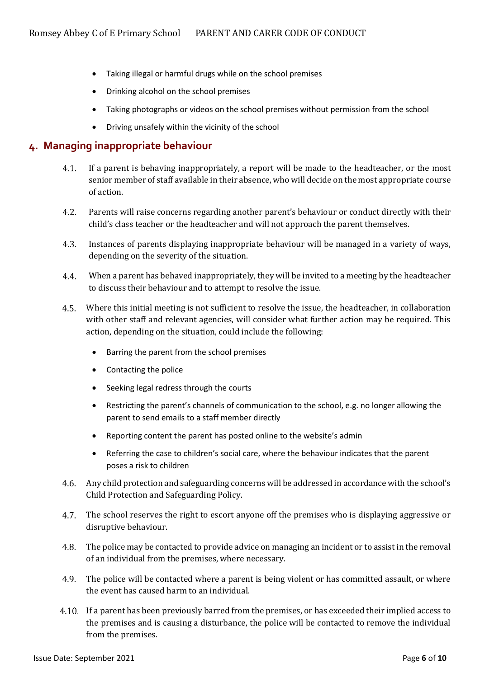- Taking illegal or harmful drugs while on the school premises
- Drinking alcohol on the school premises
- Taking photographs or videos on the school premises without permission from the school
- Driving unsafely within the vicinity of the school

#### **4. Managing inappropriate behaviour**

- $4.1.$ If a parent is behaving inappropriately, a report will be made to the headteacher, or the most senior member of staff available in their absence, who will decide on the most appropriate course of action.
- $4.2.$ Parents will raise concerns regarding another parent's behaviour or conduct directly with their child's class teacher or the headteacher and will not approach the parent themselves.
- $4.3.$ Instances of parents displaying inappropriate behaviour will be managed in a variety of ways, depending on the severity of the situation.
- $4.4.$ When a parent has behaved inappropriately, they will be invited to a meeting by the headteacher to discuss their behaviour and to attempt to resolve the issue.
- 4.5. Where this initial meeting is not sufficient to resolve the issue, the headteacher, in collaboration with other staff and relevant agencies, will consider what further action may be required. This action, depending on the situation, could include the following:
	- Barring the parent from the school premises
	- Contacting the police
	- Seeking legal redress through the courts
	- Restricting the parent's channels of communication to the school, e.g. no longer allowing the parent to send emails to a staff member directly
	- Reporting content the parent has posted online to the website's admin
	- Referring the case to children's social care, where the behaviour indicates that the parent poses a risk to children
- 4.6. Any child protection and safeguarding concerns will be addressed in accordance with the school's Child Protection and Safeguarding Policy.
- 4.7. The school reserves the right to escort anyone off the premises who is displaying aggressive or disruptive behaviour.
- The police may be contacted to provide advice on managing an incident or to assist in the removal of an individual from the premises, where necessary.
- 4.9. The police will be contacted where a parent is being violent or has committed assault, or where the event has caused harm to an individual.
- If a parent has been previously barred from the premises, or has exceeded their implied access to the premises and is causing a disturbance, the police will be contacted to remove the individual from the premises.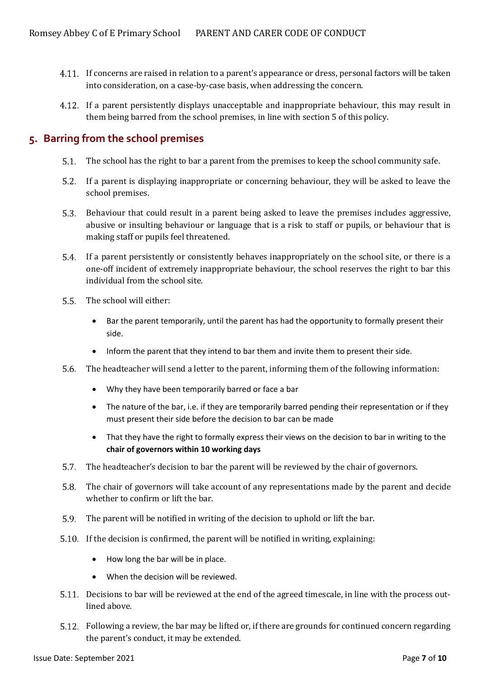- If concerns are raised in relation to a parent's appearance or dress, personal factors will be taken into consideration, on a case-by-case basis, when addressing the concern.
- If a parent persistently displays unacceptable and inappropriate behaviour, this may result in them being barred from the school premises, in line with [section 5](#page-6-0) of this policy.

## <span id="page-6-0"></span>**5. Barring from the school premises**

- The school has the right to bar a parent from the premises to keep the school community safe.
- If a parent is displaying inappropriate or concerning behaviour, they will be asked to leave the school premises.
- Behaviour that could result in a parent being asked to leave the premises includes aggressive, abusive or insulting behaviour or language that is a risk to staff or pupils, or behaviour that is making staff or pupils feel threatened.
- If a parent persistently or consistently behaves inappropriately on the school site, or there is a one-off incident of extremely inappropriate behaviour, the school reserves the right to bar this individual from the school site.
- 5.5 The school will either:
	- Bar the parent temporarily, until the parent has had the opportunity to formally present their side.
	- Inform the parent that they intend to bar them and invite them to present their side.
- 5.6 The headteacher will send a letter to the parent, informing them of the following information:
	- Why they have been temporarily barred or face a bar
	- The nature of the bar, i.e. if they are temporarily barred pending their representation or if they must present their side before the decision to bar can be made
	- That they have the right to formally express their views on the decision to bar in writing to the **chair of governors within 10 working days**
- The headteacher's decision to bar the parent will be reviewed by the chair of governors.
- $5.8.$ The chair of governors will take account of any representations made by the parent and decide whether to confirm or lift the bar.
- The parent will be notified in writing of the decision to uphold or lift the bar.  $5.9.$
- If the decision is confirmed, the parent will be notified in writing, explaining:
	- How long the bar will be in place.
	- When the decision will be reviewed.
- Decisions to bar will be reviewed at the end of the agreed timescale, in line with the process outlined above.
- Following a review, the bar may be lifted or, if there are grounds for continued concern regarding the parent's conduct, it may be extended.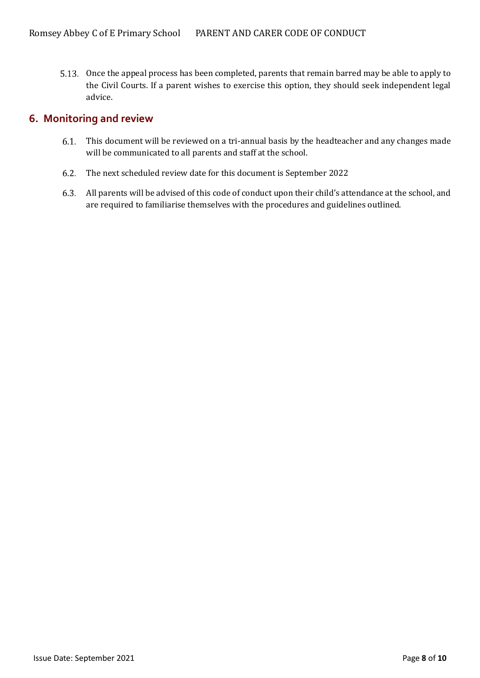5.13. Once the appeal process has been completed, parents that remain barred may be able to apply to the Civil Courts. If a parent wishes to exercise this option, they should seek independent legal advice.

#### **6. Monitoring and review**

- This document will be reviewed on a tri-annual basis by the headteacher and any changes made will be communicated to all parents and staff at the school.
- The next scheduled review date for this document is September 2022  $6.2$
- All parents will be advised of this code of conduct upon their child's attendance at the school, and are required to familiarise themselves with the procedures and guidelines outlined.